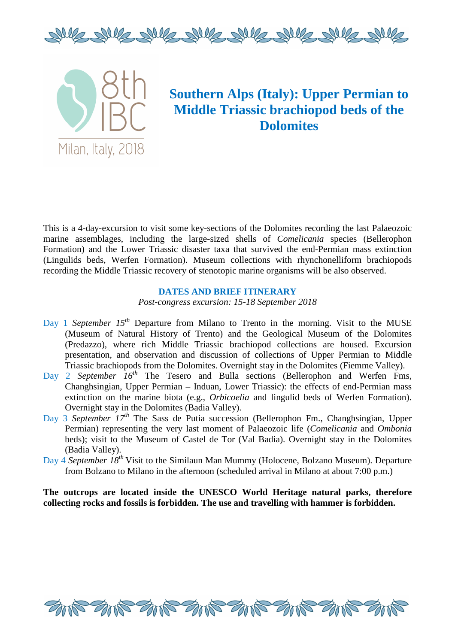



# **Southern Alps (Italy): Upper Permian to Middle Triassic brachiopod beds of the Dolomites**

This is a 4-day-excursion to visit some key-sections of the Dolomites recording the last Palaeozoic marine assemblages, including the large-sized shells of *Comelicania* species (Bellerophon Formation) and the Lower Triassic disaster taxa that survived the end-Permian mass extinction (Lingulids beds, Werfen Formation). Museum collections with rhynchonelliform brachiopods recording the Middle Triassic recovery of stenotopic marine organisms will be also observed.

## **DATES AND BRIEF ITINERARY**

*Post-congress excursion: 15-18 September 2018* 

- Day 1 *September 15<sup>th</sup>* Departure from Milano to Trento in the morning. Visit to the MUSE (Museum of Natural History of Trento) and the Geological Museum of the Dolomites (Predazzo), where rich Middle Triassic brachiopod collections are housed. Excursion presentation, and observation and discussion of collections of Upper Permian to Middle Triassic brachiopods from the Dolomites. Overnight stay in the Dolomites (Fiemme Valley).
- Day 2 *September 16th* The Tesero and Bulla sections (Bellerophon and Werfen Fms, Changhsingian, Upper Permian – Induan, Lower Triassic): the effects of end-Permian mass extinction on the marine biota (e.g., *Orbicoelia* and lingulid beds of Werfen Formation). Overnight stay in the Dolomites (Badia Valley).
- Day 3 *September 17th* The Sass de Putia succession (Bellerophon Fm., Changhsingian, Upper Permian) representing the very last moment of Palaeozoic life (*Comelicania* and *Ombonia* beds); visit to the Museum of Castel de Tor (Val Badia). Overnight stay in the Dolomites (Badia Valley).
- Day 4 *September 18th* Visit to the Similaun Man Mummy (Holocene, Bolzano Museum). Departure from Bolzano to Milano in the afternoon (scheduled arrival in Milano at about 7:00 p.m.)

**The outcrops are located inside the UNESCO World Heritage natural parks, therefore collecting rocks and fossils is forbidden. The use and travelling with hammer is forbidden.** 

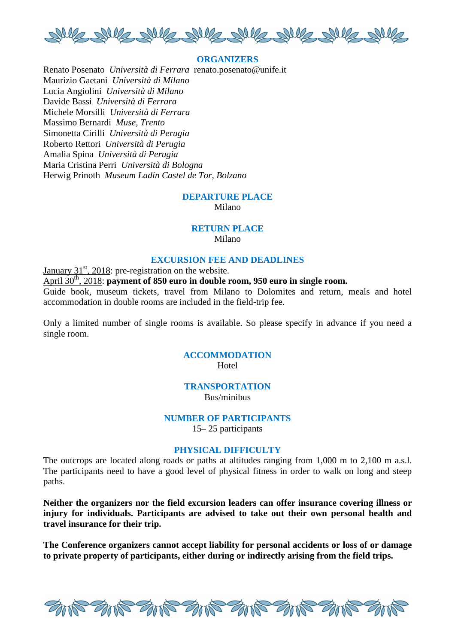

## **ORGANIZERS**

Renato Posenato *Università di Ferrara* renato.posenato@unife.it Maurizio Gaetani *Università di Milano* Lucia Angiolini *Università di Milano* Davide Bassi *Università di Ferrara* Michele Morsilli *Università di Ferrara* Massimo Bernardi *Muse, Trento* Simonetta Cirilli *Università di Perugia* Roberto Rettori *Università di Perugia* Amalia Spina *Università di Perugia* Maria Cristina Perri *Università di Bologna* Herwig Prinoth *Museum Ladin Castel de Tor, Bolzano* 

#### **DEPARTURE PLACE**

Milano

## **RETURN PLACE**

Milano

#### **EXCURSION FEE AND DEADLINES**

January  $31<sup>st</sup>$ , 2018: pre-registration on the website.

April 30<sup>th</sup>, 2018: **payment of 850 euro in double room, 950 euro in single room.** 

Guide book, museum tickets, travel from Milano to Dolomites and return, meals and hotel accommodation in double rooms are included in the field-trip fee.

Only a limited number of single rooms is available. So please specify in advance if you need a single room.

# **ACCOMMODATION Hotel**

#### **TRANSPORTATION**

Bus/minibus

# **NUMBER OF PARTICIPANTS**

15– 25 participants

# **PHYSICAL DIFFICULTY**

The outcrops are located along roads or paths at altitudes ranging from 1,000 m to 2,100 m a.s.l. The participants need to have a good level of physical fitness in order to walk on long and steep paths.

**Neither the organizers nor the field excursion leaders can offer insurance covering illness or injury for individuals. Participants are advised to take out their own personal health and travel insurance for their trip.**

**The Conference organizers cannot accept liability for personal accidents or loss of or damage to private property of participants, either during or indirectly arising from the field trips.**